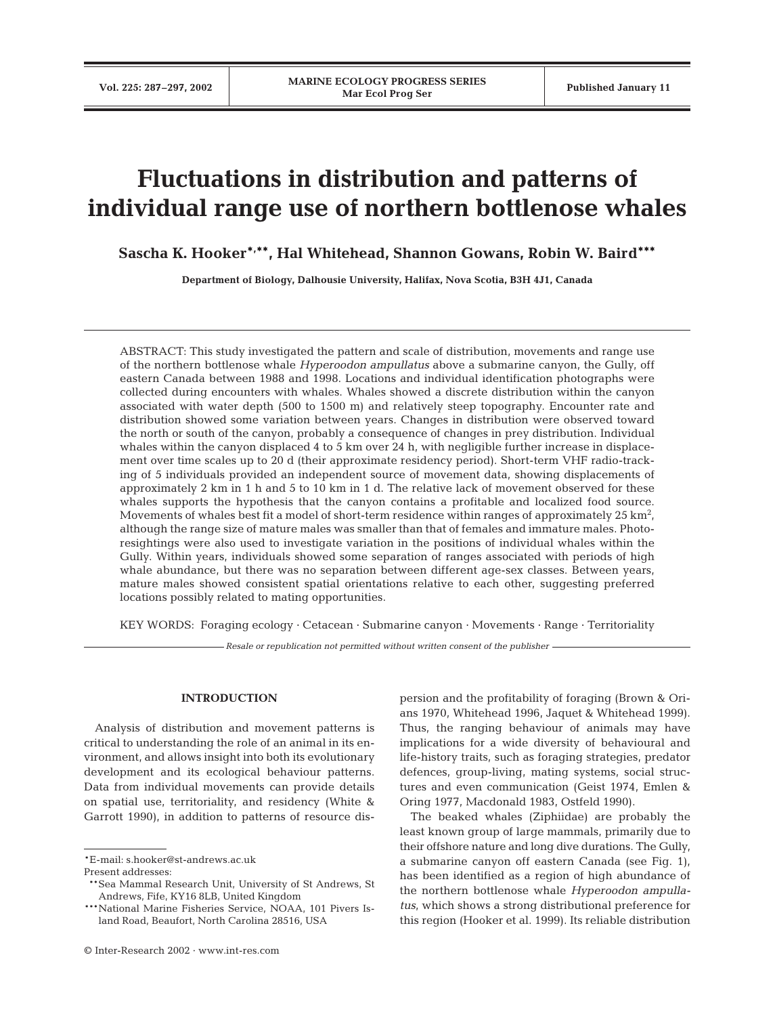# **Fluctuations in distribution and patterns of individual range use of northern bottlenose whales**

**Sascha K. Hooker\*, \*\*, Hal Whitehead, Shannon Gowans, Robin W. Baird\*\*\***

**Department of Biology, Dalhousie University, Halifax, Nova Scotia, B3H 4J1, Canada**

ABSTRACT: This study investigated the pattern and scale of distribution, movements and range use of the northern bottlenose whale *Hyperoodon ampullatus* above a submarine canyon, the Gully, off eastern Canada between 1988 and 1998. Locations and individual identification photographs were collected during encounters with whales. Whales showed a discrete distribution within the canyon associated with water depth (500 to 1500 m) and relatively steep topography. Encounter rate and distribution showed some variation between years. Changes in distribution were observed toward the north or south of the canyon, probably a consequence of changes in prey distribution. Individual whales within the canyon displaced 4 to 5 km over 24 h, with negligible further increase in displacement over time scales up to 20 d (their approximate residency period). Short-term VHF radio-tracking of 5 individuals provided an independent source of movement data, showing displacements of approximately 2 km in 1 h and 5 to 10 km in 1 d. The relative lack of movement observed for these whales supports the hypothesis that the canyon contains a profitable and localized food source. Movements of whales best fit a model of short-term residence within ranges of approximately 25  $\mathrm{km}^2$ , although the range size of mature males was smaller than that of females and immature males. Photoresightings were also used to investigate variation in the positions of individual whales within the Gully. Within years, individuals showed some separation of ranges associated with periods of high whale abundance, but there was no separation between different age-sex classes. Between years, mature males showed consistent spatial orientations relative to each other, suggesting preferred locations possibly related to mating opportunities.

KEY WORDS: Foraging ecology · Cetacean · Submarine canyon · Movements · Range · Territoriality

*Resale or republication not permitted without written consent of the publisher*

# **INTRODUCTION**

Analysis of distribution and movement patterns is critical to understanding the role of an animal in its environment, and allows insight into both its evolutionary development and its ecological behaviour patterns. Data from individual movements can provide details on spatial use, territoriality, and residency (White & Garrott 1990), in addition to patterns of resource dispersion and the profitability of foraging (Brown & Orians 1970, Whitehead 1996, Jaquet & Whitehead 1999). Thus, the ranging behaviour of animals may have implications for a wide diversity of behavioural and life-history traits, such as foraging strategies, predator defences, group-living, mating systems, social structures and even communication (Geist 1974, Emlen & Oring 1977, Macdonald 1983, Ostfeld 1990).

The beaked whales (Ziphiidae) are probably the least known group of large mammals, primarily due to their offshore nature and long dive durations. The Gully, a submarine canyon off eastern Canada (see Fig. 1), has been identified as a region of high abundance of the northern bottlenose whale *Hyperoodon ampullatus*, which shows a strong distributional preference for this region (Hooker et al. 1999). Its reliable distribution

<sup>\*</sup>E-mail: s.hooker@st-andrews.ac.uk

Present addresses:

<sup>\*\*</sup>Sea Mammal Research Unit, University of St Andrews, St Andrews, Fife, KY16 8LB, United Kingdom

<sup>\*\*\*</sup>National Marine Fisheries Service, NOAA, 101 Pivers Island Road, Beaufort, North Carolina 28516, USA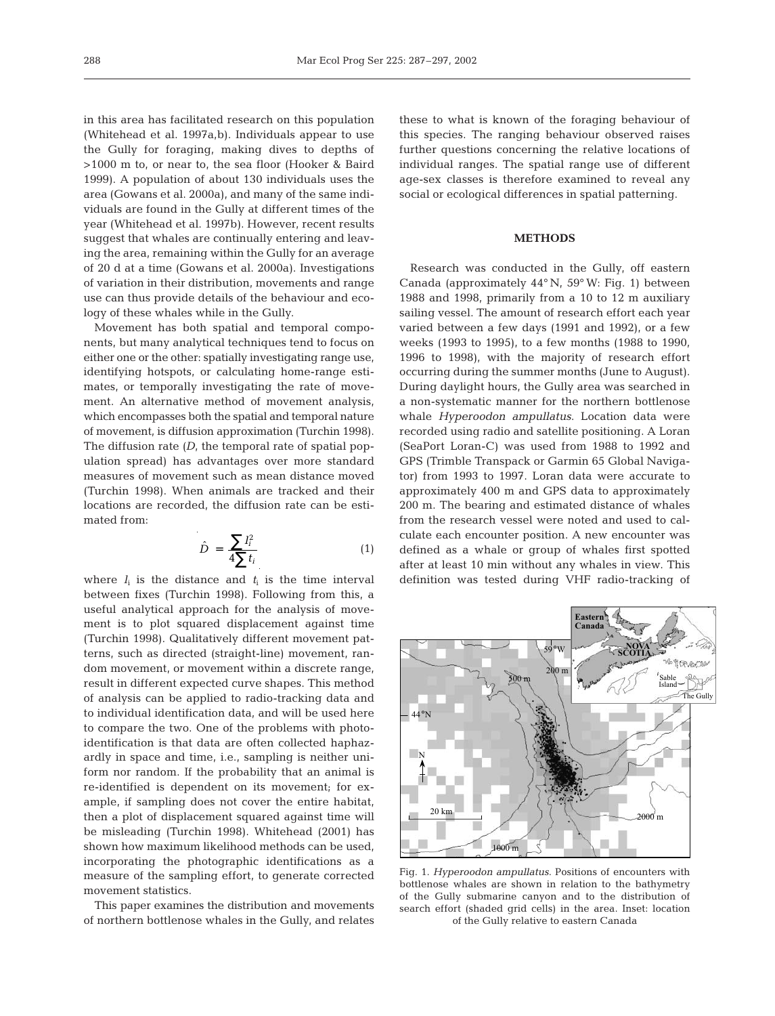in this area has facilitated research on this population (Whitehead et al. 1997a,b). Individuals appear to use the Gully for foraging, making dives to depths of >1000 m to, or near to, the sea floor (Hooker & Baird 1999). A population of about 130 individuals uses the area (Gowans et al. 2000a), and many of the same individuals are found in the Gully at different times of the year (Whitehead et al. 1997b). However, recent results suggest that whales are continually entering and leaving the area, remaining within the Gully for an average of 20 d at a time (Gowans et al. 2000a). Investigations of variation in their distribution, movements and range use can thus provide details of the behaviour and ecology of these whales while in the Gully.

Movement has both spatial and temporal components, but many analytical techniques tend to focus on either one or the other: spatially investigating range use, identifying hotspots, or calculating home-range estimates, or temporally investigating the rate of movement. An alternative method of movement analysis, which encompasses both the spatial and temporal nature of movement, is diffusion approximation (Turchin 1998). The diffusion rate *(D*, the temporal rate of spatial population spread) has advantages over more standard measures of movement such as mean distance moved (Turchin 1998). When animals are tracked and their locations are recorded, the diffusion rate can be estimated from:

$$
\hat{D} = \frac{\sum l_i^2}{4\sum t_i} \tag{1}
$$

where  $l_i$  is the distance and  $t_i$  is the time interval between fixes (Turchin 1998). Following from this, a useful analytical approach for the analysis of movement is to plot squared displacement against time (Turchin 1998). Qualitatively different movement patterns, such as directed (straight-line) movement, random movement, or movement within a discrete range, result in different expected curve shapes. This method of analysis can be applied to radio-tracking data and to individual identification data, and will be used here to compare the two. One of the problems with photoidentification is that data are often collected haphazardly in space and time, i.e., sampling is neither uniform nor random. If the probability that an animal is re-identified is dependent on its movement; for example, if sampling does not cover the entire habitat, then a plot of displacement squared against time will be misleading (Turchin 1998). Whitehead (2001) has shown how maximum likelihood methods can be used, incorporating the photographic identifications as a measure of the sampling effort, to generate corrected movement statistics.

This paper examines the distribution and movements of northern bottlenose whales in the Gully, and relates

these to what is known of the foraging behaviour of this species. The ranging behaviour observed raises further questions concerning the relative locations of individual ranges. The spatial range use of different age-sex classes is therefore examined to reveal any social or ecological differences in spatial patterning.

# **METHODS**

Research was conducted in the Gully, off eastern Canada (approximately 44° N, 59° W: Fig. 1) between 1988 and 1998, primarily from a 10 to 12 m auxiliary sailing vessel. The amount of research effort each year varied between a few days (1991 and 1992), or a few weeks (1993 to 1995), to a few months (1988 to 1990, 1996 to 1998), with the majority of research effort occurring during the summer months (June to August). During daylight hours, the Gully area was searched in a non-systematic manner for the northern bottlenose whale *Hyperoodon ampullatus*. Location data were recorded using radio and satellite positioning. A Loran (SeaPort Loran-C) was used from 1988 to 1992 and GPS (Trimble Transpack or Garmin 65 Global Navigator) from 1993 to 1997. Loran data were accurate to approximately 400 m and GPS data to approximately 200 m. The bearing and estimated distance of whales from the research vessel were noted and used to calculate each encounter position. A new encounter was defined as a whale or group of whales first spotted after at least 10 min without any whales in view. This definition was tested during VHF radio-tracking of



Fig. 1. *Hyperoodon ampullatus*. Positions of encounters with bottlenose whales are shown in relation to the bathymetry of the Gully submarine canyon and to the distribution of search effort (shaded grid cells) in the area. Inset: location of the Gully relative to eastern Canada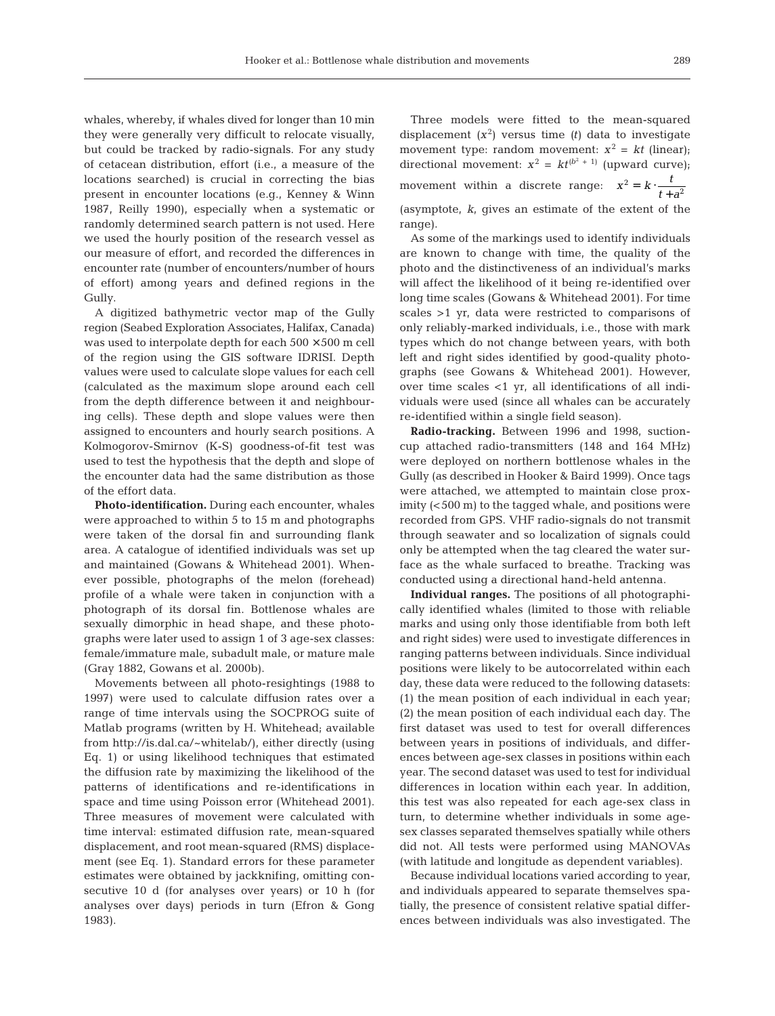range).

whales, whereby, if whales dived for longer than 10 min they were generally very difficult to relocate visually, but could be tracked by radio-signals. For any study of cetacean distribution, effort (i.e., a measure of the locations searched) is crucial in correcting the bias present in encounter locations (e.g., Kenney & Winn 1987, Reilly 1990), especially when a systematic or randomly determined search pattern is not used. Here we used the hourly position of the research vessel as our measure of effort, and recorded the differences in encounter rate (number of encounters/number of hours of effort) among years and defined regions in the Gully.

A digitized bathymetric vector map of the Gully region (Seabed Exploration Associates, Halifax, Canada) was used to interpolate depth for each  $500 \times 500$  m cell of the region using the GIS software IDRISI. Depth values were used to calculate slope values for each cell (calculated as the maximum slope around each cell from the depth difference between it and neighbouring cells). These depth and slope values were then assigned to encounters and hourly search positions. A Kolmogorov-Smirnov (K-S) goodness-of-fit test was used to test the hypothesis that the depth and slope of the encounter data had the same distribution as those of the effort data.

**Photo-identification.** During each encounter, whales were approached to within 5 to 15 m and photographs were taken of the dorsal fin and surrounding flank area. A catalogue of identified individuals was set up and maintained (Gowans & Whitehead 2001). Whenever possible, photographs of the melon (forehead) profile of a whale were taken in conjunction with a photograph of its dorsal fin. Bottlenose whales are sexually dimorphic in head shape, and these photographs were later used to assign 1 of 3 age-sex classes: female/immature male, subadult male, or mature male (Gray 1882, Gowans et al. 2000b).

Movements between all photo-resightings (1988 to 1997) were used to calculate diffusion rates over a range of time intervals using the SOCPROG suite of Matlab programs (written by H. Whitehead; available from http://is.dal.ca/~whitelab/), either directly (using Eq. 1) or using likelihood techniques that estimated the diffusion rate by maximizing the likelihood of the patterns of identifications and re-identifications in space and time using Poisson error (Whitehead 2001). Three measures of movement were calculated with time interval: estimated diffusion rate, mean-squared displacement, and root mean-squared (RMS) displacement (see Eq. 1). Standard errors for these parameter estimates were obtained by jackknifing, omitting consecutive 10 d (for analyses over years) or 10 h (for analyses over days) periods in turn (Efron & Gong 1983).

Three models were fitted to the mean-squared displacement  $(x^2)$  versus time *(t)* data to investigate movement type: random movement:  $x^2 = kt$  (linear); directional movement:  $x^2 = kt^{(b^2 + 1)}$  (upward curve); movement within a discrete range:  $x^2 = k \cdot \frac{t}{t+a}$ (asymptote, *k*, gives an estimate of the extent of the  $\frac{1}{t+a^2}$ 

As some of the markings used to identify individuals are known to change with time, the quality of the photo and the distinctiveness of an individual's marks will affect the likelihood of it being re-identified over long time scales (Gowans & Whitehead 2001). For time scales >1 yr, data were restricted to comparisons of only reliably-marked individuals, i.e., those with mark types which do not change between years, with both left and right sides identified by good-quality photographs (see Gowans & Whitehead 2001). However, over time scales <1 yr, all identifications of all individuals were used (since all whales can be accurately re-identified within a single field season).

**Radio-tracking.** Between 1996 and 1998, suctioncup attached radio-transmitters (148 and 164 MHz) were deployed on northern bottlenose whales in the Gully (as described in Hooker & Baird 1999). Once tags were attached, we attempted to maintain close proximity (<500 m) to the tagged whale, and positions were recorded from GPS. VHF radio-signals do not transmit through seawater and so localization of signals could only be attempted when the tag cleared the water surface as the whale surfaced to breathe. Tracking was conducted using a directional hand-held antenna.

**Individual ranges.** The positions of all photographically identified whales (limited to those with reliable marks and using only those identifiable from both left and right sides) were used to investigate differences in ranging patterns between individuals. Since individual positions were likely to be autocorrelated within each day, these data were reduced to the following datasets: (1) the mean position of each individual in each year; (2) the mean position of each individual each day. The first dataset was used to test for overall differences between years in positions of individuals, and differences between age-sex classes in positions within each year. The second dataset was used to test for individual differences in location within each year. In addition, this test was also repeated for each age-sex class in turn, to determine whether individuals in some agesex classes separated themselves spatially while others did not. All tests were performed using MANOVAs (with latitude and longitude as dependent variables).

Because individual locations varied according to year, and individuals appeared to separate themselves spatially, the presence of consistent relative spatial differences between individuals was also investigated. The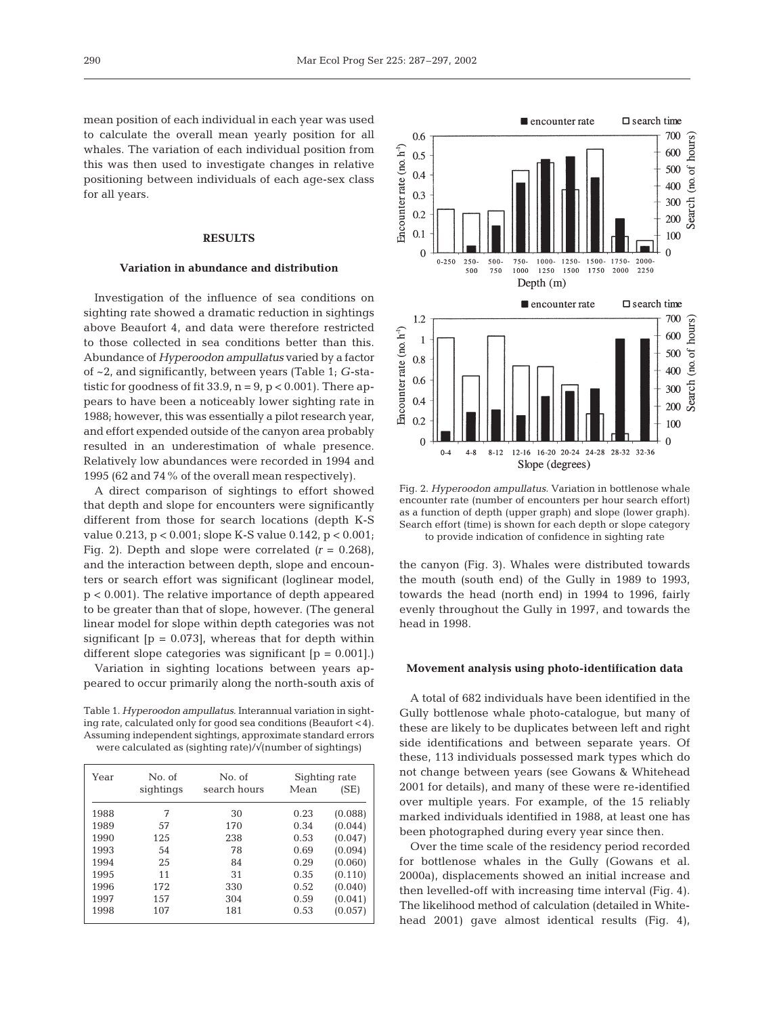mean position of each individual in each year was used to calculate the overall mean yearly position for all whales. The variation of each individual position from this was then used to investigate changes in relative positioning between individuals of each age-sex class for all years.

# **RESULTS**

#### **Variation in abundance and distribution**

Investigation of the influence of sea conditions on sighting rate showed a dramatic reduction in sightings above Beaufort 4, and data were therefore restricted to those collected in sea conditions better than this. Abundance of *Hyperoodon ampullatus* varied by a factor of ~2, and significantly, between years (Table 1; *G*-statistic for goodness of fit 33.9,  $n = 9$ ,  $p < 0.001$ ). There appears to have been a noticeably lower sighting rate in 1988; however, this was essentially a pilot research year, and effort expended outside of the canyon area probably resulted in an underestimation of whale presence. Relatively low abundances were recorded in 1994 and 1995 (62 and 74% of the overall mean respectively).

A direct comparison of sightings to effort showed that depth and slope for encounters were significantly different from those for search locations (depth K-S value 0.213, p < 0.001; slope K-S value 0.142, p < 0.001; Fig. 2). Depth and slope were correlated  $(r = 0.268)$ , and the interaction between depth, slope and encounters or search effort was significant (loglinear model, p < 0.001). The relative importance of depth appeared to be greater than that of slope, however. (The general linear model for slope within depth categories was not significant  $[p = 0.073]$ , whereas that for depth within different slope categories was significant  $[p = 0.001]$ .

Variation in sighting locations between years appeared to occur primarily along the north-south axis of

Table 1. *Hyperoodon ampullatus*. Interannual variation in sighting rate, calculated only for good sea conditions (Beaufort <4). Assuming independent sightings, approximate standard errors were calculated as (sighting rate)/√(number of sightings)

| Year | No. of    | No. of<br>search hours | Sighting rate |         |
|------|-----------|------------------------|---------------|---------|
|      | sightings |                        | Mean          | (SE)    |
| 1988 | 7         | 30                     | 0.23          | (0.088) |
| 1989 | 57        | 170                    | 0.34          | (0.044) |
| 1990 | 125       | 238                    | 0.53          | (0.047) |
| 1993 | 54        | 78                     | 0.69          | (0.094) |
| 1994 | 2.5       | 84                     | 0.29          | (0.060) |
| 1995 | 11        | 31                     | 0.35          | (0.110) |
| 1996 | 172       | 330                    | 0.52          | (0.040) |
| 1997 | 157       | 304                    | 0.59          | (0.041) |
| 1998 | 107       | 181                    | 0.53          | (0.057) |



Fig. 2. *Hyperoodon ampullatus*. Variation in bottlenose whale encounter rate (number of encounters per hour search effort) as a function of depth (upper graph) and slope (lower graph). Search effort (time) is shown for each depth or slope category to provide indication of confidence in sighting rate

the canyon (Fig. 3). Whales were distributed towards the mouth (south end) of the Gully in 1989 to 1993, towards the head (north end) in 1994 to 1996, fairly evenly throughout the Gully in 1997, and towards the head in 1998.

#### **Movement analysis using photo-identification data**

A total of 682 individuals have been identified in the Gully bottlenose whale photo-catalogue, but many of these are likely to be duplicates between left and right side identifications and between separate years. Of these, 113 individuals possessed mark types which do not change between years (see Gowans & Whitehead 2001 for details), and many of these were re-identified over multiple years. For example, of the 15 reliably marked individuals identified in 1988, at least one has been photographed during every year since then.

Over the time scale of the residency period recorded for bottlenose whales in the Gully (Gowans et al. 2000a), displacements showed an initial increase and then levelled-off with increasing time interval (Fig. 4). The likelihood method of calculation (detailed in Whitehead 2001) gave almost identical results (Fig. 4),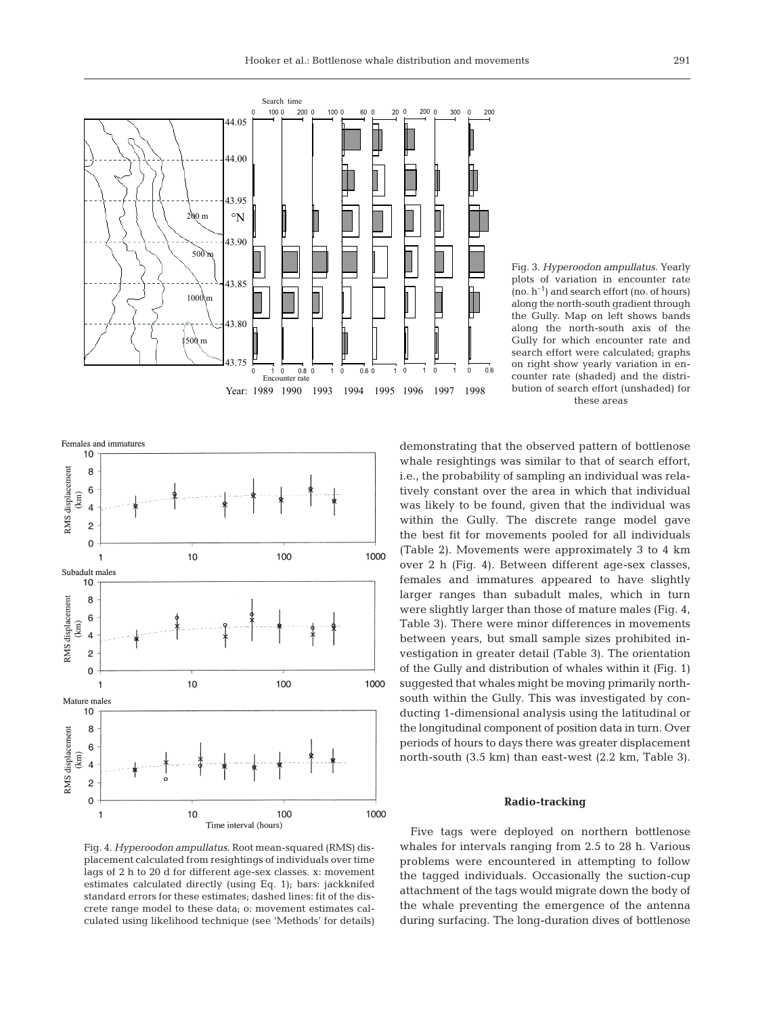



Fig. 4. *Hyperoodon ampullatus*. Root mean-squared (RMS) displacement calculated from resightings of individuals over time lags of 2 h to 20 d for different age-sex classes. x: movement estimates calculated directly (using Eq. 1); bars: jackknifed standard errors for these estimates; dashed lines: fit of the discrete range model to these data; o: movement estimates calculated using likelihood technique (see 'Methods' for details)

Fig. 3. *Hyperoodon ampullatus*. Yearly plots of variation in encounter rate  $(no, h^{-1})$  and search effort  $(no, of hours)$ along the north-south gradient through the Gully. Map on left shows bands along the north-south axis of the Gully for which encounter rate and search effort were calculated; graphs on right show yearly variation in encounter rate (shaded) and the distribution of search effort (unshaded) for these areas

demonstrating that the observed pattern of bottlenose whale resightings was similar to that of search effort, i.e., the probability of sampling an individual was relatively constant over the area in which that individual was likely to be found, given that the individual was within the Gully. The discrete range model gave the best fit for movements pooled for all individuals (Table 2). Movements were approximately 3 to 4 km over 2 h (Fig. 4). Between different age-sex classes, females and immatures appeared to have slightly larger ranges than subadult males, which in turn were slightly larger than those of mature males (Fig. 4, Table 3). There were minor differences in movements between years, but small sample sizes prohibited investigation in greater detail (Table 3). The orientation of the Gully and distribution of whales within it (Fig. 1) suggested that whales might be moving primarily northsouth within the Gully. This was investigated by conducting 1-dimensional analysis using the latitudinal or the longitudinal component of position data in turn. Over periods of hours to days there was greater displacement north-south (3.5 km) than east-west (2.2 km, Table 3).

#### **Radio-tracking**

Five tags were deployed on northern bottlenose whales for intervals ranging from 2.5 to 28 h. Various problems were encountered in attempting to follow the tagged individuals. Occasionally the suction-cup attachment of the tags would migrate down the body of the whale preventing the emergence of the antenna during surfacing. The long-duration dives of bottlenose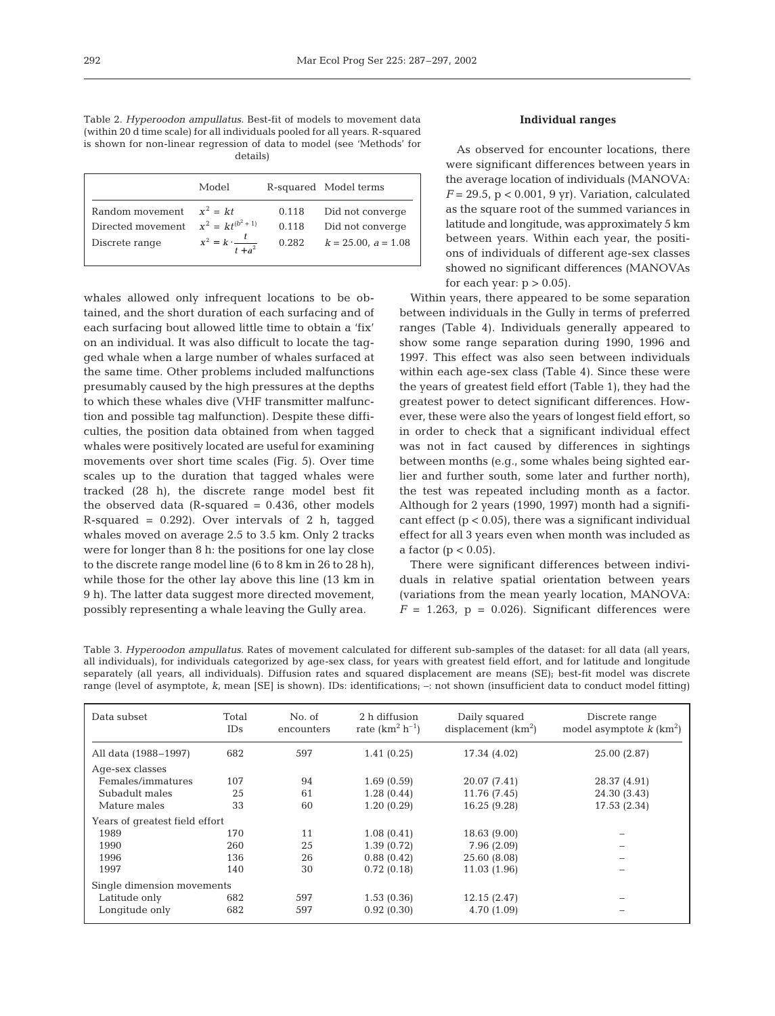Table 2. *Hyperoodon ampullatus*. Best-fit of models to movement data (within 20 d time scale) for all individuals pooled for all years. R-squared is shown for non-linear regression of data to model (see 'Methods' for details)

|                            | Model                             |       | R-squared Model terms    |
|----------------------------|-----------------------------------|-------|--------------------------|
| Random movement $x^2 = kt$ |                                   | 0.118 | Did not converge         |
| Directed movement          | $x^2 = kt^{(b^2 + 1)}$            | 0.118 | Did not converge         |
| Discrete range             | $x^2 = k \cdot \frac{t}{t + a^2}$ | 0.282 | $k = 25.00$ , $a = 1.08$ |

whales allowed only infrequent locations to be obtained, and the short duration of each surfacing and of each surfacing bout allowed little time to obtain a 'fix' on an individual. It was also difficult to locate the tagged whale when a large number of whales surfaced at the same time. Other problems included malfunctions presumably caused by the high pressures at the depths to which these whales dive (VHF transmitter malfunction and possible tag malfunction). Despite these difficulties, the position data obtained from when tagged whales were positively located are useful for examining movements over short time scales (Fig. 5). Over time scales up to the duration that tagged whales were tracked (28 h), the discrete range model best fit the observed data (R-squared  $= 0.436$ , other models R-squared =  $0.292$ ). Over intervals of 2 h, tagged whales moved on average 2.5 to 3.5 km. Only 2 tracks were for longer than 8 h: the positions for one lay close to the discrete range model line (6 to 8 km in 26 to 28 h), while those for the other lay above this line (13 km in 9 h). The latter data suggest more directed movement, possibly representing a whale leaving the Gully area.

# **Individual ranges**

As observed for encounter locations, there were significant differences between years in the average location of individuals (MANOVA:  $F = 29.5$ ,  $p < 0.001$ , 9 yr). Variation, calculated as the square root of the summed variances in latitude and longitude, was approximately 5 km between years. Within each year, the positions of individuals of different age-sex classes showed no significant differences (MANOVAs for each year:  $p > 0.05$ ).

Within years, there appeared to be some separation between individuals in the Gully in terms of preferred ranges (Table 4). Individuals generally appeared to show some range separation during 1990, 1996 and 1997. This effect was also seen between individuals within each age-sex class (Table 4). Since these were the years of greatest field effort (Table 1), they had the greatest power to detect significant differences. However, these were also the years of longest field effort, so in order to check that a significant individual effect was not in fact caused by differences in sightings between months (e.g., some whales being sighted earlier and further south, some later and further north), the test was repeated including month as a factor. Although for 2 years (1990, 1997) month had a significant effect  $(p < 0.05)$ , there was a significant individual effect for all 3 years even when month was included as a factor ( $p < 0.05$ ).

There were significant differences between individuals in relative spatial orientation between years (variations from the mean yearly location, MANOVA:  $F = 1.263$ ,  $p = 0.026$ . Significant differences were

Table 3. *Hyperoodon ampullatus*. Rates of movement calculated for different sub-samples of the dataset: for all data (all years, all individuals), for individuals categorized by age-sex class, for years with greatest field effort, and for latitude and longitude separately (all years, all individuals). Diffusion rates and squared displacement are means (SE); best-fit model was discrete range (level of asymptote, *k*, mean [SE] is shown). IDs: identifications; –: not shown (insufficient data to conduct model fitting)

| Data subset                    | Total<br>IDs. | No. of<br>encounters | 2 h diffusion<br>rate $(km^2 h^{-1})$ | Daily squared<br>displacement $(km2)$ | Discrete range<br>model asymptote $k \, (\text{km}^2)$ |
|--------------------------------|---------------|----------------------|---------------------------------------|---------------------------------------|--------------------------------------------------------|
| All data (1988–1997)           | 682           | 597                  | 1.41(0.25)                            | 17.34 (4.02)                          | 25.00 (2.87)                                           |
| Age-sex classes                |               |                      |                                       |                                       |                                                        |
| Females/immatures              | 107           | 94                   | 1.69(0.59)                            | 20.07 (7.41)                          | 28.37 (4.91)                                           |
| Subadult males                 | 25            | 61                   | 1.28(0.44)                            | 11.76 (7.45)                          | 24.30 (3.43)                                           |
| Mature males                   | 33            | 60                   | 1.20(0.29)                            | 16.25 (9.28)                          | 17.53 (2.34)                                           |
| Years of greatest field effort |               |                      |                                       |                                       |                                                        |
| 1989                           | 170           | 11                   | 1.08(0.41)                            | 18.63 (9.00)                          |                                                        |
| 1990                           | 260           | 25                   | 1.39(0.72)                            | 7.96(2.09)                            |                                                        |
| 1996                           | 136           | 26                   | 0.88(0.42)                            | 25.60 (8.08)                          |                                                        |
| 1997                           | 140           | 30                   | 0.72(0.18)                            | 11.03 (1.96)                          |                                                        |
| Single dimension movements     |               |                      |                                       |                                       |                                                        |
| Latitude only                  | 682           | 597                  | 1.53(0.36)                            | 12.15(2.47)                           |                                                        |
| Longitude only                 | 682           | 597                  | 0.92(0.30)                            | 4.70 (1.09)                           |                                                        |
|                                |               |                      |                                       |                                       |                                                        |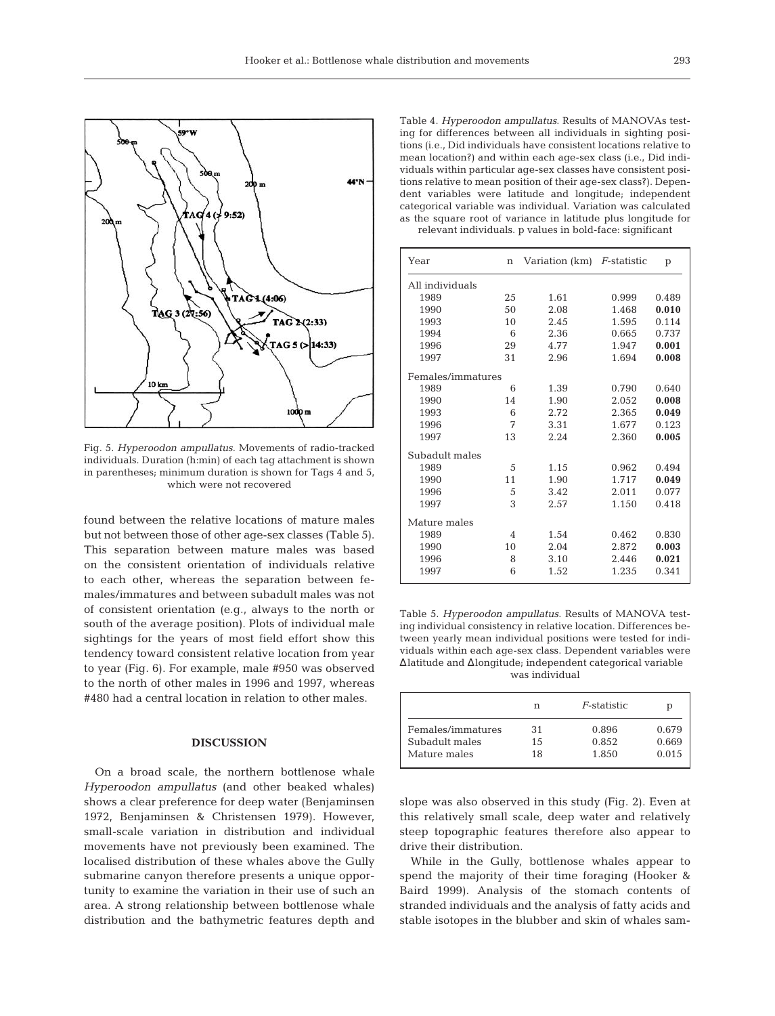

Fig. 5. *Hyperoodon ampullatus*. Movements of radio-tracked individuals. Duration (h:min) of each tag attachment is shown in parentheses; minimum duration is shown for Tags 4 and 5, which were not recovered

found between the relative locations of mature males but not between those of other age-sex classes (Table 5). This separation between mature males was based on the consistent orientation of individuals relative to each other, whereas the separation between females/immatures and between subadult males was not of consistent orientation (e.g., always to the north or south of the average position). Plots of individual male sightings for the years of most field effort show this tendency toward consistent relative location from year to year (Fig. 6). For example, male #950 was observed to the north of other males in 1996 and 1997, whereas #480 had a central location in relation to other males.

# **DISCUSSION**

On a broad scale, the northern bottlenose whale *Hyperoodon ampullatus* (and other beaked whales) shows a clear preference for deep water (Benjaminsen 1972, Benjaminsen & Christensen 1979). However, small-scale variation in distribution and individual movements have not previously been examined. The localised distribution of these whales above the Gully submarine canyon therefore presents a unique opportunity to examine the variation in their use of such an area. A strong relationship between bottlenose whale distribution and the bathymetric features depth and

Table 4. *Hyperoodon ampullatus*. Results of MANOVAs testing for differences between all individuals in sighting positions (i.e., Did individuals have consistent locations relative to mean location?) and within each age-sex class (i.e., Did individuals within particular age-sex classes have consistent positions relative to mean position of their age-sex class?). Dependent variables were latitude and longitude; independent categorical variable was individual. Variation was calculated as the square root of variance in latitude plus longitude for relevant individuals. p values in bold-face: significant

| Year              | $\mathbf n$    | Variation (km) | <i>F</i> -statistic | p     |
|-------------------|----------------|----------------|---------------------|-------|
| All individuals   |                |                |                     |       |
| 1989              | 25             | 1.61           | 0.999               | 0.489 |
| 1990              | 50             | 2.08           | 1.468               | 0.010 |
| 1993              | 10             | 2.45           | 1.595               | 0.114 |
| 1994              | 6              | 2.36           | 0.665               | 0.737 |
| 1996              | 29             | 4.77           | 1.947               | 0.001 |
| 1997              | 31             | 2.96           | 1.694               | 0.008 |
| Females/immatures |                |                |                     |       |
| 1989              | 6              | 1.39           | 0.790               | 0.640 |
| 1990              | 14             | 1.90           | 2.052               | 0.008 |
| 1993              | 6              | 2.72           | 2.365               | 0.049 |
| 1996              | 7              | 3.31           | 1.677               | 0.123 |
| 1997              | 13             | 2.24           | 2.360               | 0.005 |
| Subadult males    |                |                |                     |       |
| 1989              | 5              | 1.15           | 0.962               | 0.494 |
| 1990              | 11             | 1.90           | 1.717               | 0.049 |
| 1996              | 5              | 3.42           | 2.011               | 0.077 |
| 1997              | 3              | 2.57           | 1.150               | 0.418 |
| Mature males      |                |                |                     |       |
| 1989              | $\overline{4}$ | 1.54           | 0.462               | 0.830 |
| 1990              | 10             | 2.04           | 2.872               | 0.003 |
| 1996              | 8              | 3.10           | 2.446               | 0.021 |
| 1997              | 6              | 1.52           | 1.235               | 0.341 |

Table 5. *Hyperoodon ampullatus*. Results of MANOVA testing individual consistency in relative location. Differences between yearly mean individual positions were tested for individuals within each age-sex class. Dependent variables were ∆latitude and ∆longitude; independent categorical variable was individual

|                                     | n         | <i>F</i> -statistic | р              |
|-------------------------------------|-----------|---------------------|----------------|
| Females/immatures<br>Subadult males | 31<br>1.5 | 0.896<br>0.852      | 0.679<br>0.669 |
| Mature males                        | 18        | 1.850               | 0.015          |

slope was also observed in this study (Fig. 2). Even at this relatively small scale, deep water and relatively steep topographic features therefore also appear to drive their distribution.

While in the Gully, bottlenose whales appear to spend the majority of their time foraging (Hooker & Baird 1999). Analysis of the stomach contents of stranded individuals and the analysis of fatty acids and stable isotopes in the blubber and skin of whales sam-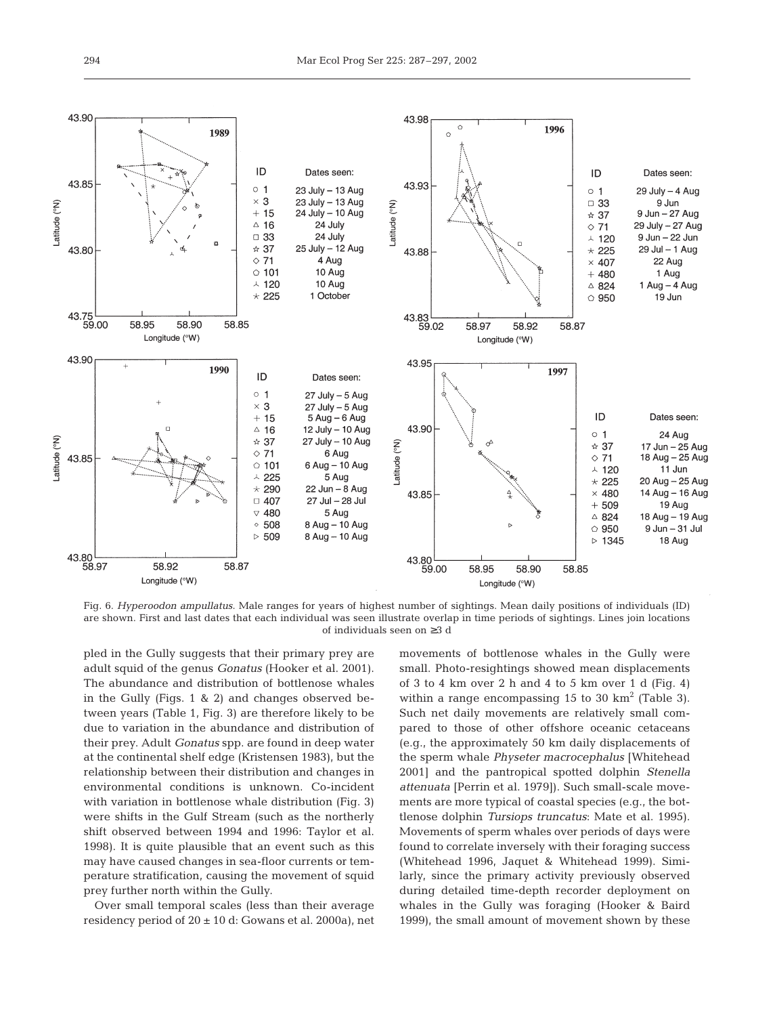

Fig. 6. *Hyperoodon ampullatus*. Male ranges for years of highest number of sightings. Mean daily positions of individuals (ID) are shown. First and last dates that each individual was seen illustrate overlap in time periods of sightings. Lines join locations of individuals seen on ≥3 d

pled in the Gully suggests that their primary prey are adult squid of the genus *Gonatus* (Hooker et al. 2001). The abundance and distribution of bottlenose whales in the Gully (Figs. 1 & 2) and changes observed between years (Table 1, Fig. 3) are therefore likely to be due to variation in the abundance and distribution of their prey. Adult *Gonatus* spp. are found in deep water at the continental shelf edge (Kristensen 1983), but the relationship between their distribution and changes in environmental conditions is unknown. Co-incident with variation in bottlenose whale distribution (Fig. 3) were shifts in the Gulf Stream (such as the northerly shift observed between 1994 and 1996: Taylor et al. 1998). It is quite plausible that an event such as this may have caused changes in sea-floor currents or temperature stratification, causing the movement of squid prey further north within the Gully.

Over small temporal scales (less than their average residency period of  $20 \pm 10$  d: Gowans et al. 2000a), net movements of bottlenose whales in the Gully were small. Photo-resightings showed mean displacements of 3 to 4 km over 2 h and 4 to 5 km over 1 d (Fig. 4) within a range encompassing 15 to 30  $km^2$  (Table 3). Such net daily movements are relatively small compared to those of other offshore oceanic cetaceans (e.g., the approximately 50 km daily displacements of the sperm whale *Physeter macrocephalus* [Whitehead 2001] and the pantropical spotted dolphin *Stenella attenuata* [Perrin et al. 1979]). Such small-scale movements are more typical of coastal species (e.g., the bottlenose dolphin *Tursiops truncatus*: Mate et al. 1995). Movements of sperm whales over periods of days were found to correlate inversely with their foraging success (Whitehead 1996, Jaquet & Whitehead 1999). Similarly, since the primary activity previously observed during detailed time-depth recorder deployment on whales in the Gully was foraging (Hooker & Baird 1999), the small amount of movement shown by these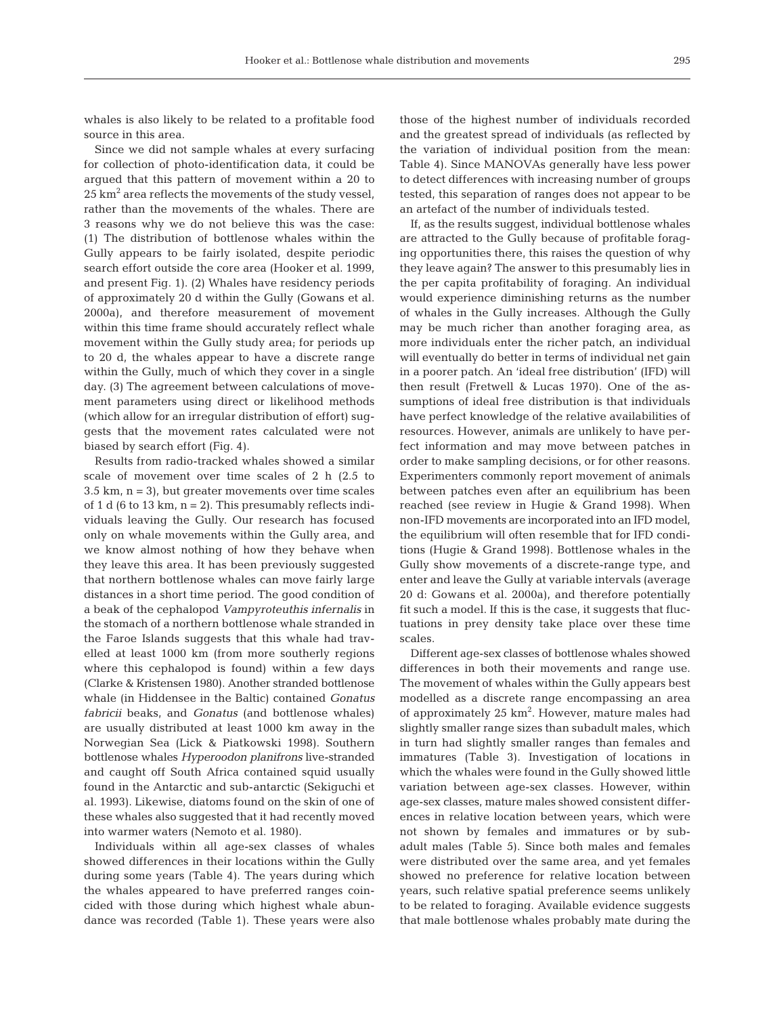whales is also likely to be related to a profitable food source in this area.

Since we did not sample whales at every surfacing for collection of photo-identification data, it could be argued that this pattern of movement within a 20 to  $25 \text{ km}^2$  area reflects the movements of the study vessel, rather than the movements of the whales. There are 3 reasons why we do not believe this was the case: (1) The distribution of bottlenose whales within the Gully appears to be fairly isolated, despite periodic search effort outside the core area (Hooker et al. 1999, and present Fig. 1). (2) Whales have residency periods of approximately 20 d within the Gully (Gowans et al. 2000a), and therefore measurement of movement within this time frame should accurately reflect whale movement within the Gully study area; for periods up to 20 d, the whales appear to have a discrete range within the Gully, much of which they cover in a single day. (3) The agreement between calculations of movement parameters using direct or likelihood methods (which allow for an irregular distribution of effort) suggests that the movement rates calculated were not biased by search effort (Fig. 4).

Results from radio-tracked whales showed a similar scale of movement over time scales of 2 h (2.5 to  $3.5 \text{ km}$ ,  $n = 3$ , but greater movements over time scales of 1 d (6 to 13 km,  $n = 2$ ). This presumably reflects individuals leaving the Gully. Our research has focused only on whale movements within the Gully area, and we know almost nothing of how they behave when they leave this area. It has been previously suggested that northern bottlenose whales can move fairly large distances in a short time period. The good condition of a beak of the cephalopod *Vampyroteuthis infernalis* in the stomach of a northern bottlenose whale stranded in the Faroe Islands suggests that this whale had travelled at least 1000 km (from more southerly regions where this cephalopod is found) within a few days (Clarke & Kristensen 1980). Another stranded bottlenose whale (in Hiddensee in the Baltic) contained *Gonatus fabricii* beaks, and *Gonatus* (and bottlenose whales) are usually distributed at least 1000 km away in the Norwegian Sea (Lick & Piatkowski 1998). Southern bottlenose whales *Hyperoodon planifrons* live-stranded and caught off South Africa contained squid usually found in the Antarctic and sub-antarctic (Sekiguchi et al. 1993). Likewise, diatoms found on the skin of one of these whales also suggested that it had recently moved into warmer waters (Nemoto et al. 1980).

Individuals within all age-sex classes of whales showed differences in their locations within the Gully during some years (Table 4). The years during which the whales appeared to have preferred ranges coincided with those during which highest whale abundance was recorded (Table 1). These years were also those of the highest number of individuals recorded and the greatest spread of individuals (as reflected by the variation of individual position from the mean: Table 4). Since MANOVAs generally have less power to detect differences with increasing number of groups tested, this separation of ranges does not appear to be an artefact of the number of individuals tested.

If, as the results suggest, individual bottlenose whales are attracted to the Gully because of profitable foraging opportunities there, this raises the question of why they leave again? The answer to this presumably lies in the per capita profitability of foraging. An individual would experience diminishing returns as the number of whales in the Gully increases. Although the Gully may be much richer than another foraging area, as more individuals enter the richer patch, an individual will eventually do better in terms of individual net gain in a poorer patch. An 'ideal free distribution' (IFD) will then result (Fretwell & Lucas 1970). One of the assumptions of ideal free distribution is that individuals have perfect knowledge of the relative availabilities of resources. However, animals are unlikely to have perfect information and may move between patches in order to make sampling decisions, or for other reasons. Experimenters commonly report movement of animals between patches even after an equilibrium has been reached (see review in Hugie & Grand 1998). When non-IFD movements are incorporated into an IFD model, the equilibrium will often resemble that for IFD conditions (Hugie & Grand 1998). Bottlenose whales in the Gully show movements of a discrete-range type, and enter and leave the Gully at variable intervals (average 20 d: Gowans et al. 2000a), and therefore potentially fit such a model. If this is the case, it suggests that fluctuations in prey density take place over these time scales.

Different age-sex classes of bottlenose whales showed differences in both their movements and range use. The movement of whales within the Gully appears best modelled as a discrete range encompassing an area of approximately 25 km<sup>2</sup>. However, mature males had slightly smaller range sizes than subadult males, which in turn had slightly smaller ranges than females and immatures (Table 3). Investigation of locations in which the whales were found in the Gully showed little variation between age-sex classes. However, within age-sex classes, mature males showed consistent differences in relative location between years, which were not shown by females and immatures or by subadult males (Table 5). Since both males and females were distributed over the same area, and yet females showed no preference for relative location between years, such relative spatial preference seems unlikely to be related to foraging. Available evidence suggests that male bottlenose whales probably mate during the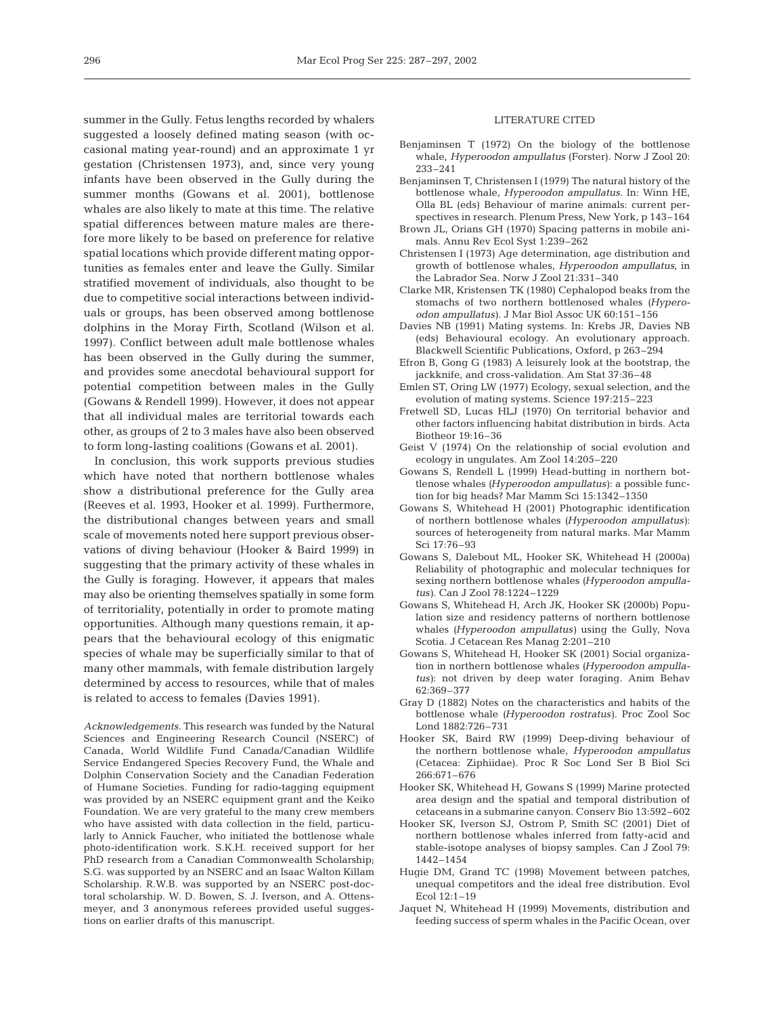summer in the Gully. Fetus lengths recorded by whalers suggested a loosely defined mating season (with occasional mating year-round) and an approximate 1 yr gestation (Christensen 1973), and, since very young infants have been observed in the Gully during the summer months (Gowans et al. 2001), bottlenose whales are also likely to mate at this time. The relative spatial differences between mature males are therefore more likely to be based on preference for relative spatial locations which provide different mating opportunities as females enter and leave the Gully. Similar stratified movement of individuals, also thought to be due to competitive social interactions between individuals or groups, has been observed among bottlenose dolphins in the Moray Firth, Scotland (Wilson et al. 1997). Conflict between adult male bottlenose whales has been observed in the Gully during the summer, and provides some anecdotal behavioural support for potential competition between males in the Gully (Gowans & Rendell 1999). However, it does not appear that all individual males are territorial towards each other, as groups of 2 to 3 males have also been observed to form long-lasting coalitions (Gowans et al. 2001).

In conclusion, this work supports previous studies which have noted that northern bottlenose whales show a distributional preference for the Gully area (Reeves et al. 1993, Hooker et al. 1999). Furthermore, the distributional changes between years and small scale of movements noted here support previous observations of diving behaviour (Hooker & Baird 1999) in suggesting that the primary activity of these whales in the Gully is foraging. However, it appears that males may also be orienting themselves spatially in some form of territoriality, potentially in order to promote mating opportunities. Although many questions remain, it appears that the behavioural ecology of this enigmatic species of whale may be superficially similar to that of many other mammals, with female distribution largely determined by access to resources, while that of males is related to access to females (Davies 1991).

*Acknowledgements.* This research was funded by the Natural Sciences and Engineering Research Council (NSERC) of Canada, World Wildlife Fund Canada/Canadian Wildlife Service Endangered Species Recovery Fund, the Whale and Dolphin Conservation Society and the Canadian Federation of Humane Societies. Funding for radio-tagging equipment was provided by an NSERC equipment grant and the Keiko Foundation. We are very grateful to the many crew members who have assisted with data collection in the field, particularly to Annick Faucher, who initiated the bottlenose whale photo-identification work. S.K.H. received support for her PhD research from a Canadian Commonwealth Scholarship; S.G. was supported by an NSERC and an Isaac Walton Killam Scholarship. R.W.B. was supported by an NSERC post-doctoral scholarship. W. D. Bowen, S. J. Iverson, and A. Ottensmeyer, and 3 anonymous referees provided useful suggestions on earlier drafts of this manuscript.

#### LITERATURE CITED

- Benjaminsen T (1972) On the biology of the bottlenose whale, *Hyperoodon ampullatus* (Forster). Norw J Zool 20: 233–241
- Benjaminsen T, Christensen I (1979) The natural history of the bottlenose whale, *Hyperoodon ampullatus*. In: Winn HE, Olla BL (eds) Behaviour of marine animals: current perspectives in research. Plenum Press, New York, p 143–164
- Brown JL, Orians GH (1970) Spacing patterns in mobile animals. Annu Rev Ecol Syst 1:239–262
- Christensen I (1973) Age determination, age distribution and growth of bottlenose whales, *Hyperoodon ampullatus*, in the Labrador Sea. Norw J Zool 21:331–340
- Clarke MR, Kristensen TK (1980) Cephalopod beaks from the stomachs of two northern bottlenosed whales *(Hyperoodon ampullatus)*. J Mar Biol Assoc UK 60:151–156
- Davies NB (1991) Mating systems. In: Krebs JR, Davies NB (eds) Behavioural ecology. An evolutionary approach. Blackwell Scientific Publications, Oxford, p 263–294
- Efron B, Gong G (1983) A leisurely look at the bootstrap, the jackknife, and cross-validation. Am Stat 37:36–48
- Emlen ST, Oring LW (1977) Ecology, sexual selection, and the evolution of mating systems. Science 197:215–223
- Fretwell SD, Lucas HLJ (1970) On territorial behavior and other factors influencing habitat distribution in birds. Acta Biotheor 19:16–36
- Geist V (1974) On the relationship of social evolution and ecology in ungulates. Am Zool 14:205–220
- Gowans S, Rendell L (1999) Head-butting in northern bottlenose whales *(Hyperoodon ampullatus)*: a possible function for big heads? Mar Mamm Sci 15:1342–1350
- Gowans S, Whitehead H (2001) Photographic identification of northern bottlenose whales *(Hyperoodon ampullatus)*: sources of heterogeneity from natural marks. Mar Mamm Sci 17:76–93
- Gowans S, Dalebout ML, Hooker SK, Whitehead H (2000a) Reliability of photographic and molecular techniques for sexing northern bottlenose whales *(Hyperoodon ampullatus)*. Can J Zool 78:1224–1229
- Gowans S, Whitehead H, Arch JK, Hooker SK (2000b) Population size and residency patterns of northern bottlenose whales *(Hyperoodon ampullatus)* using the Gully, Nova Scotia. J Cetacean Res Manag 2:201–210
- Gowans S, Whitehead H, Hooker SK (2001) Social organization in northern bottlenose whales *(Hyperoodon ampullatus)*: not driven by deep water foraging. Anim Behav 62:369–377
- Gray D (1882) Notes on the characteristics and habits of the bottlenose whale *(Hyperoodon rostratus)*. Proc Zool Soc Lond 1882:726–731
- Hooker SK, Baird RW (1999) Deep-diving behaviour of the northern bottlenose whale, *Hyperoodon ampullatus* (Cetacea: Ziphiidae). Proc R Soc Lond Ser B Biol Sci 266:671–676
- Hooker SK, Whitehead H, Gowans S (1999) Marine protected area design and the spatial and temporal distribution of cetaceans in a submarine canyon. Conserv Bio 13:592–602
- Hooker SK, Iverson SJ, Ostrom P, Smith SC (2001) Diet of northern bottlenose whales inferred from fatty-acid and stable-isotope analyses of biopsy samples. Can J Zool 79: 1442–1454
- Hugie DM, Grand TC (1998) Movement between patches, unequal competitors and the ideal free distribution. Evol Ecol 12:1–19
- Jaquet N, Whitehead H (1999) Movements, distribution and feeding success of sperm whales in the Pacific Ocean, over